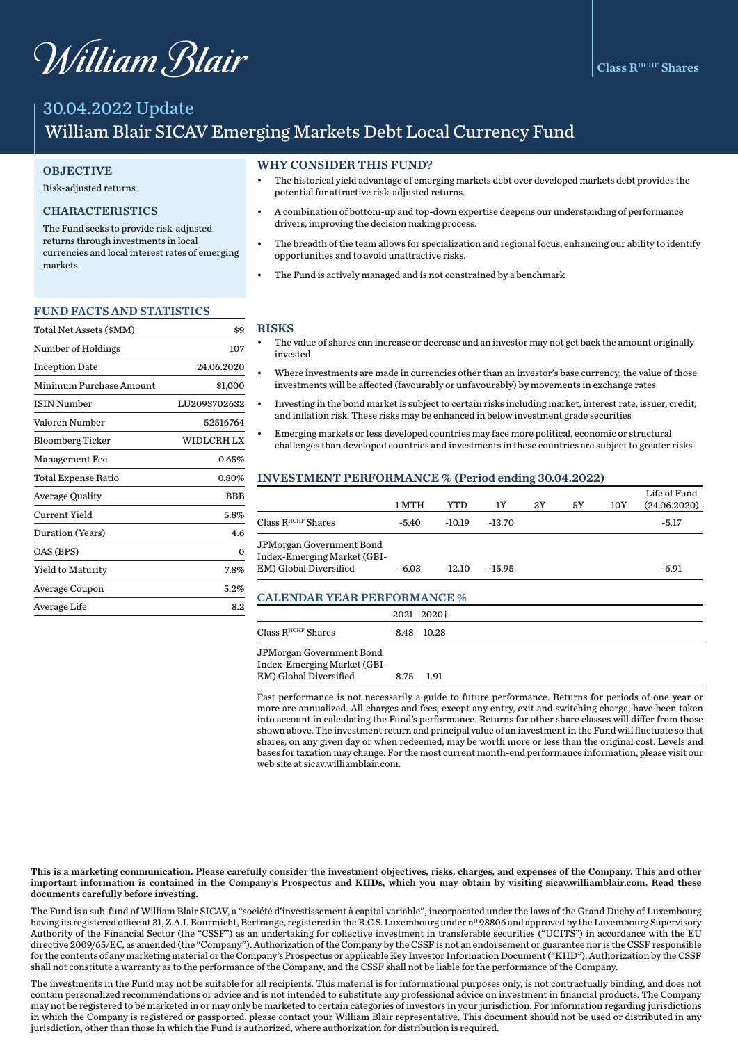# William Blair

# 30.04.2022 Update William Blair SICAV Emerging Markets Debt Local Currency Fund

#### **OBJECTIVE**

#### Risk-adjusted returns

## CHARACTERISTICS

The Fund seeks to provide risk-adjusted returns through investments in local currencies and local interest rates of emerging markets.

#### FUND FACTS AND STATISTICS

| Total Net Assets (\$MM) | \$9          |
|-------------------------|--------------|
| Number of Holdings      | 107          |
| <b>Inception Date</b>   | 24.06.2020   |
| Minimum Purchase Amount | \$1,000      |
| <b>ISIN Number</b>      | LU2093702632 |
| Valoren Number          | 52516764     |
| <b>Bloomberg Ticker</b> | WIDLCRH LX   |
| <b>Management Fee</b>   | 0.65%        |
| Total Expense Ratio     | 0.80%        |
| <b>Average Quality</b>  | BBB          |
| Current Yield           | 5.8%         |
| Duration (Years)        | 4.6          |
| OAS (BPS)               | 0            |
| Yield to Maturity       | 7.8%         |
| Average Coupon          | 5.2%         |
| Average Life            | 8.2          |

#### WHY CONSIDER THIS FUND?

- The historical yield advantage of emerging markets debt over developed markets debt provides the potential for attractive risk-adjusted returns.
- A combination of bottom-up and top-down expertise deepens our understanding of performance drivers, improving the decision making process.
- The breadth of the team allows for specialization and regional focus, enhancing our ability to identify opportunities and to avoid unattractive risks.
- The Fund is actively managed and is not constrained by a benchmark

#### RISKS

- The value of shares can increase or decrease and an investor may not get back the amount originally invested
- Where investments are made in currencies other than an investor's base currency, the value of those investments will be affected (favourably or unfavourably) by movements in exchange rates
- Investing in the bond market is subject to certain risks including market, interest rate, issuer, credit, and inflation risk. These risks may be enhanced in below investment grade securities
- Emerging markets or less developed countries may face more political, economic or structural challenges than developed countries and investments in these countries are subject to greater risks

#### INVESTMENT PERFORMANCE % (Period ending 30.04.2022)

|                                                                                   | 1 MTH   | YTD      | 1Y       | 3Y | 5Υ | 10Y | Life of Fund<br>(24.06.2020) |
|-----------------------------------------------------------------------------------|---------|----------|----------|----|----|-----|------------------------------|
| Class R <sup>HCHF</sup> Shares                                                    | -5.40   | $-10.19$ | $-13.70$ |    |    |     | $-5.17$                      |
| JPMorgan Government Bond<br>Index-Emerging Market (GBI-<br>EM) Global Diversified | $-6.03$ | $-12.10$ | $-15.95$ |    |    |     | $-6.91$                      |

#### CALENDAR YEAR PERFORMANCE %

|                               |            | 2021 2020†    |  |  |  |
|-------------------------------|------------|---------------|--|--|--|
| $\rm Class\,R^{HCHF}\,Shares$ |            | $-8.48$ 10.28 |  |  |  |
| JPMorgan Government Bond      |            |               |  |  |  |
| Index-Emerging Market (GBI-   |            |               |  |  |  |
| EM) Global Diversified        | -8.75 1.91 |               |  |  |  |

Past performance is not necessarily a guide to future performance. Returns for periods of one year or more are annualized. All charges and fees, except any entry, exit and switching charge, have been taken into account in calculating the Fund's performance. Returns for other share classes will differ from those shown above. The investment return and principal value of an investment in the Fund will fluctuate so that shares, on any given day or when redeemed, may be worth more or less than the original cost. Levels and bases for taxation may change. For the most current month-end performance information, please visit our web site at sicav.williamblair.com.

This is a marketing communication. Please carefully consider the investment objectives, risks, charges, and expenses of the Company. This and other important information is contained in the Company's Prospectus and KIIDs, which you may obtain by visiting sicav.williamblair.com. Read these documents carefully before investing.

The Fund is a sub-fund of William Blair SICAV, a "société d'investissement à capital variable", incorporated under the laws of the Grand Duchy of Luxembourg having its registered office at 31, Z.A.I. Bourmicht, Bertrange, registered in the R.C.S. Luxembourg under nº 98806 and approved by the Luxembourg Supervisory Authority of the Financial Sector (the "CSSF") as an undertaking for collective investment in transferable securities ("UCITS") in accordance with the EU directive 2009/65/EC, as amended (the "Company"). Authorization of the Company by the CSSF is not an endorsement or guarantee nor is the CSSF responsible for the contents of any marketing material or the Company's Prospectus or applicable Key Investor Information Document ("KIID"). Authorization by the CSSF shall not constitute a warranty as to the performance of the Company, and the CSSF shall not be liable for the performance of the Company.

The investments in the Fund may not be suitable for all recipients. This material is for informational purposes only, is not contractually binding, and does not contain personalized recommendations or advice and is not intended to substitute any professional advice on investment in financial products. The Company may not be registered to be marketed in or may only be marketed to certain categories of investors in your jurisdiction. For information regarding jurisdictions in which the Company is registered or passported, please contact your William Blair representative. This document should not be used or distributed in any jurisdiction, other than those in which the Fund is authorized, where authorization for distribution is required.